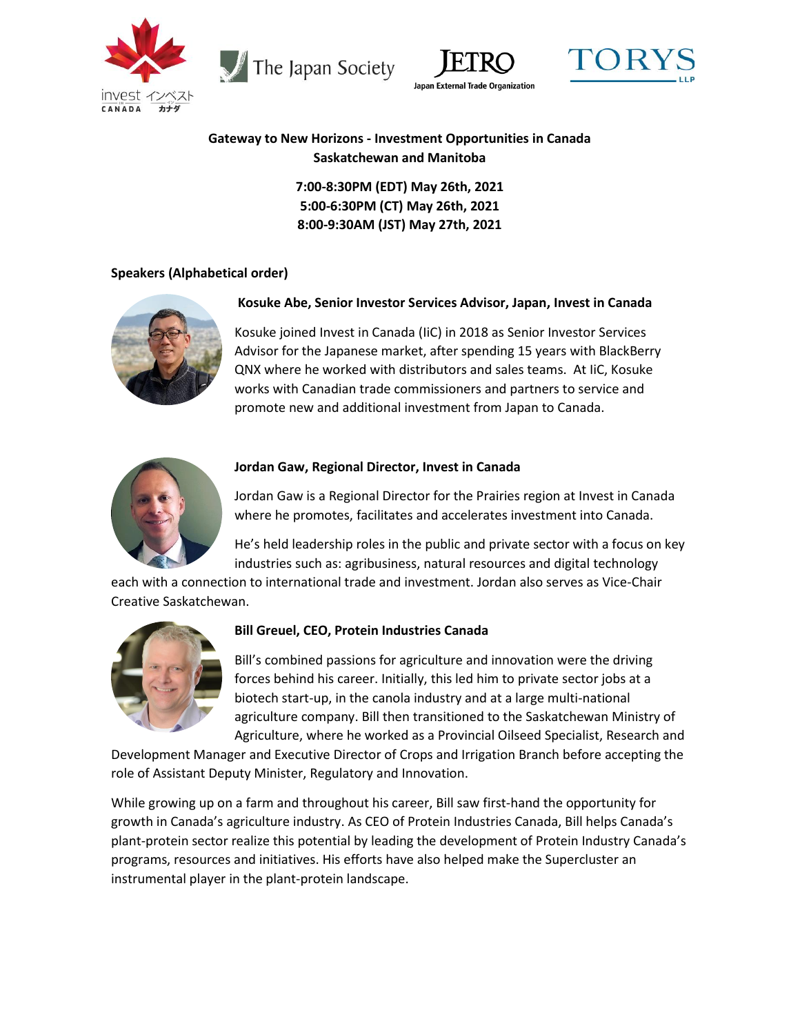

The Japan Society





# **Gateway to New Horizons - Investment Opportunities in Canada Saskatchewan and Manitoba**

**7:00-8:30PM (EDT) May 26th, 2021 5:00-6:30PM (CT) May 26th, 2021 8:00-9:30AM (JST) May 27th, 2021**

## **Speakers (Alphabetical order)**



## **Kosuke Abe, Senior Investor Services Advisor, Japan, Invest in Canada**

Kosuke joined Invest in Canada (IiC) in 2018 as Senior Investor Services Advisor for the Japanese market, after spending 15 years with BlackBerry QNX where he worked with distributors and sales teams. At IiC, Kosuke works with Canadian trade commissioners and partners to service and promote new and additional investment from Japan to Canada.



#### **Jordan Gaw, Regional Director, Invest in Canada**

Jordan Gaw is a Regional Director for the Prairies region at Invest in Canada where he promotes, facilitates and accelerates investment into Canada.

He's held leadership roles in the public and private sector with a focus on key industries such as: agribusiness, natural resources and digital technology

each with a connection to international trade and investment. Jordan also serves as Vice-Chair Creative Saskatchewan.



#### **Bill Greuel, CEO, Protein Industries Canada**

Bill's combined passions for agriculture and innovation were the driving forces behind his career. Initially, this led him to private sector jobs at a biotech start-up, in the canola industry and at a large multi-national agriculture company. Bill then transitioned to the Saskatchewan Ministry of Agriculture, where he worked as a Provincial Oilseed Specialist, Research and

Development Manager and Executive Director of Crops and Irrigation Branch before accepting the role of Assistant Deputy Minister, Regulatory and Innovation.

While growing up on a farm and throughout his career, Bill saw first-hand the opportunity for growth in Canada's agriculture industry. As CEO of Protein Industries Canada, Bill helps Canada's plant-protein sector realize this potential by leading the development of Protein Industry Canada's programs, resources and initiatives. His efforts have also helped make the Supercluster an instrumental player in the plant-protein landscape.